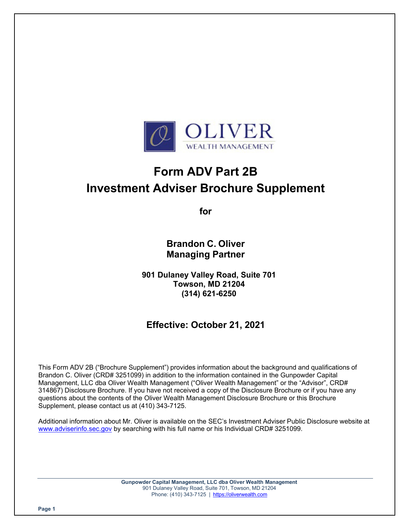

# **Form ADV Part 2B Investment Adviser Brochure Supplement**

**for** 

**Brandon C. Oliver Managing Partner** 

**901 Dulaney Valley Road, Suite 701 Towson, MD 21204 (314) 621-6250** 

# **Effective: October 21, 2021**

This Form ADV 2B ("Brochure Supplement") provides information about the background and qualifications of Brandon C. Oliver (CRD# 3251099) in addition to the information contained in the Gunpowder Capital Management, LLC dba Oliver Wealth Management ("Oliver Wealth Management" or the "Advisor", CRD# 314867) Disclosure Brochure. If you have not received a copy of the Disclosure Brochure or if you have any questions about the contents of the Oliver Wealth Management Disclosure Brochure or this Brochure Supplement, please contact us at (410) 343-7125.

Additional information about Mr. Oliver is available on the SEC's Investment Adviser Public Disclosure website at www.adviserinfo.sec.gov by searching with his full name or his Individual CRD# 3251099.

> **Gunpowder Capital Management, LLC dba Oliver Wealth Management** 901 Dulaney Valley Road, Suite 701, Towson, MD 21204 Phone: (410) 343-7125 | https://oliverwealth.com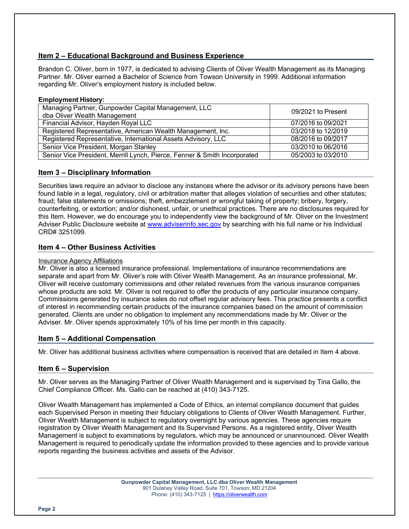# **Item 2 – Educational Background and Business Experience**

Brandon C. Oliver, born in 1977, is dedicated to advising Clients of Oliver Wealth Management as its Managing Partner. Mr. Oliver earned a Bachelor of Science from Towson University in 1999. Additional information regarding Mr. Oliver's employment history is included below.

#### **Employment History:**

| Managing Partner, Gunpowder Capital Management, LLC<br>dba Oliver Wealth Management | 09/2021 to Present |
|-------------------------------------------------------------------------------------|--------------------|
| Financial Advisor, Hayden Royal LLC                                                 | 07/2016 to 09/2021 |
| Registered Representative, American Wealth Management, Inc.                         | 03/2018 to 12/2019 |
| Registered Representative, International Assets Advisory, LLC                       | 08/2016 to 09/2017 |
| Senior Vice President, Morgan Stanley                                               | 03/2010 to 06/2016 |
| Senior Vice President, Merrill Lynch, Pierce, Fenner & Smith Incorporated           | 05/2003 to 03/2010 |

# **Item 3 – Disciplinary Information**

Securities laws require an advisor to disclose any instances where the advisor or its advisory persons have been found liable in a legal, regulatory, civil or arbitration matter that alleges violation of securities and other statutes; fraud; false statements or omissions; theft, embezzlement or wrongful taking of property; bribery, forgery, counterfeiting, or extortion; and/or dishonest, unfair, or unethical practices. There are no disclosures required for this Item. However, we do encourage you to independently view the background of Mr. Oliver on the Investment Adviser Public Disclosure website at www.adviserinfo.sec.gov by searching with his full name or his Individual CRD# 3251099.

## **Item 4 – Other Business Activities**

#### Insurance Agency Affiliations

Mr. Oliver is also a licensed insurance professional. Implementations of insurance recommendations are separate and apart from Mr. Oliver's role with Oliver Wealth Management. As an insurance professional, Mr. Oliver will receive customary commissions and other related revenues from the various insurance companies whose products are sold. Mr. Oliver is not required to offer the products of any particular insurance company. Commissions generated by insurance sales do not offset regular advisory fees. This practice presents a conflict of interest in recommending certain products of the insurance companies based on the amount of commission generated. Clients are under no obligation to implement any recommendations made by Mr. Oliver or the Adviser. Mr. Oliver spends approximately 10% of his time per month in this capacity.

## **Item 5 – Additional Compensation**

Mr. Oliver has additional business activities where compensation is received that are detailed in Item 4 above.

## **Item 6 – Supervision**

Mr. Oliver serves as the Managing Partner of Oliver Wealth Management and is supervised by Tina Gallo, the Chief Compliance Officer. Ms. Gallo can be reached at (410) 343-7125.

Oliver Wealth Management has implemented a Code of Ethics, an internal compliance document that guides each Supervised Person in meeting their fiduciary obligations to Clients of Oliver Wealth Management. Further, Oliver Wealth Management is subject to regulatory oversight by various agencies. These agencies require registration by Oliver Wealth Management and its Supervised Persons. As a registered entity, Oliver Wealth Management is subject to examinations by regulators, which may be announced or unannounced. Oliver Wealth Management is required to periodically update the information provided to these agencies and to provide various reports regarding the business activities and assets of the Advisor.

> **Gunpowder Capital Management, LLC dba Oliver Wealth Management** 901 Dulaney Valley Road, Suite 701, Towson, MD 21204 Phone: (410) 343-7125 | https://oliverwealth.com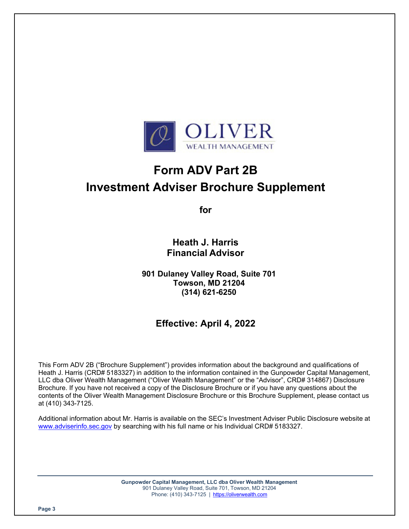

# **Form ADV Part 2B Investment Adviser Brochure Supplement**

**for** 

**Heath J. Harris Financial Advisor** 

**901 Dulaney Valley Road, Suite 701 Towson, MD 21204 (314) 621-6250** 

# **Effective: April 4, 2022**

This Form ADV 2B ("Brochure Supplement") provides information about the background and qualifications of Heath J. Harris (CRD# 5183327) in addition to the information contained in the Gunpowder Capital Management, LLC dba Oliver Wealth Management ("Oliver Wealth Management" or the "Advisor", CRD# 314867) Disclosure Brochure. If you have not received a copy of the Disclosure Brochure or if you have any questions about the contents of the Oliver Wealth Management Disclosure Brochure or this Brochure Supplement, please contact us at (410) 343-7125.

Additional information about Mr. Harris is available on the SEC's Investment Adviser Public Disclosure website at www.adviserinfo.sec.gov by searching with his full name or his Individual CRD# 5183327.

> **Gunpowder Capital Management, LLC dba Oliver Wealth Management** 901 Dulaney Valley Road, Suite 701, Towson, MD 21204 Phone: (410) 343-7125 | https://oliverwealth.com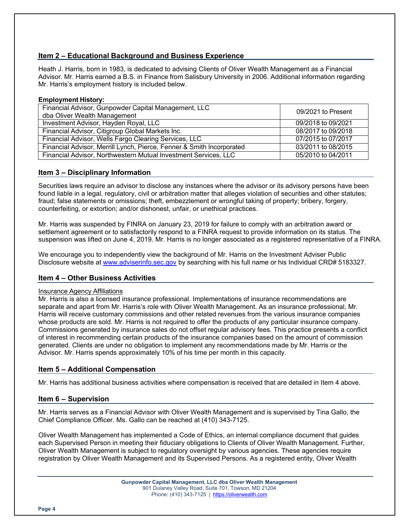# **Item 2 – Educational Background and Business Experience**

Heath J. Harris, born in 1983, is dedicated to advising Clients of Oliver Wealth Management as a Financial Advisor. Mr. Harris earned a B.S. in Finance from Salisbury University in 2006. Additional information regarding Mr. Harris's employment history is included below.

#### **Employment History:**

| Financial Advisor, Gunpowder Capital Management, LLC<br>dba Oliver Wealth Management | 09/2021 to Present |
|--------------------------------------------------------------------------------------|--------------------|
| Investment Advisor, Hayden Royal, LLC                                                | 09/2018 to 09/2021 |
| Financial Advisor, Citigroup Global Markets Inc.                                     | 08/2017 to 09/2018 |
| Financial Advisor, Wells Fargo Clearing Services, LLC                                | 07/2015 to 07/2017 |
| Financial Advisor, Merrill Lynch, Pierce, Fenner & Smith Incorporated                | 03/2011 to 08/2015 |
| Financial Advisor, Northwestern Mutual Investment Services, LLC                      | 05/2010 to 04/2011 |

#### **Item 3 – Disciplinary Information**

Securities laws require an advisor to disclose any instances where the advisor or its advisory persons have been found liable in a legal, regulatory, civil or arbitration matter that alleges violation of securities and other statutes; fraud; false statements or omissions; theft, embezzlement or wrongful taking of property; bribery, forgery, counterfeiting, or extortion; and/or dishonest, unfair, or unethical practices.

Mr. Harris was suspended by FINRA on January 23, 2019 for failure to comply with an arbitration award or settlement agreement or to satisfactorily respond to a FINRA request to provide information on its status. The suspension was lifted on June 4, 2019. Mr. Harris is no longer associated as a registered representative of a FINRA.

We encourage you to independently view the background of Mr. Harris on the Investment Adviser Public Disclosure website at www.adviserinfo.sec.gov by searching with his full name or his Individual CRD# 5183327.

#### **Item 4 – Other Business Activities**

#### Insurance Agency Affiliations

Mr. Harris is also a licensed insurance professional. Implementations of insurance recommendations are separate and apart from Mr. Harris's role with Oliver Wealth Management. As an insurance professional, Mr. Harris will receive customary commissions and other related revenues from the various insurance companies whose products are sold. Mr. Harris is not required to offer the products of any particular insurance company. Commissions generated by insurance sales do not offset regular advisory fees. This practice presents a conflict of interest in recommending certain products of the insurance companies based on the amount of commission generated. Clients are under no obligation to implement any recommendations made by Mr. Harris or the Advisor. Mr. Harris spends approximately 10% of his time per month in this capacity.

#### **Item 5 – Additional Compensation**

Mr. Harris has additional business activities where compensation is received that are detailed in Item 4 above.

#### **Item 6 – Supervision**

Mr. Harris serves as a Financial Advisor with Oliver Wealth Management and is supervised by Tina Gallo, the Chief Compliance Officer. Ms. Gallo can be reached at (410) 343-7125.

Oliver Wealth Management has implemented a Code of Ethics, an internal compliance document that guides each Supervised Person in meeting their fiduciary obligations to Clients of Oliver Wealth Management. Further, Oliver Wealth Management is subject to regulatory oversight by various agencies. These agencies require registration by Oliver Wealth Management and its Supervised Persons. As a registered entity, Oliver Wealth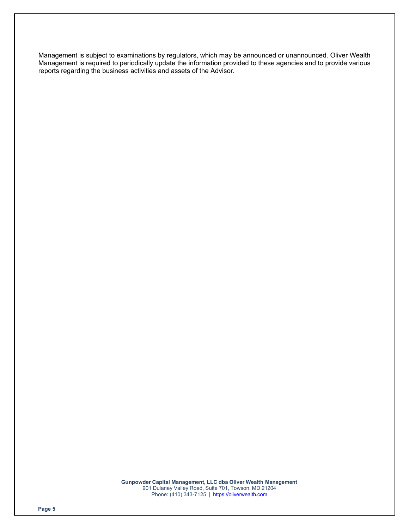Management is subject to examinations by regulators, which may be announced or unannounced. Oliver Wealth Management is required to periodically update the information provided to these agencies and to provide various reports regarding the business activities and assets of the Advisor.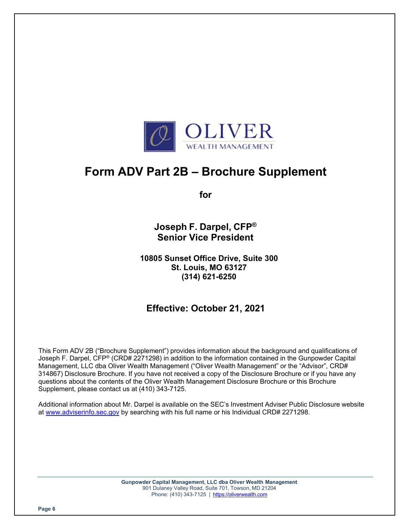

# **Form ADV Part 2B – Brochure Supplement**

**for** 

**Joseph F. Darpel, CFP® Senior Vice President** 

**10805 Sunset Office Drive, Suite 300 St. Louis, MO 63127 (314) 621-6250** 

# **Effective: October 21, 2021**

This Form ADV 2B ("Brochure Supplement") provides information about the background and qualifications of Joseph F. Darpel, CFP® (CRD# 2271298) in addition to the information contained in the Gunpowder Capital Management, LLC dba Oliver Wealth Management ("Oliver Wealth Management" or the "Advisor", CRD# 314867) Disclosure Brochure. If you have not received a copy of the Disclosure Brochure or if you have any questions about the contents of the Oliver Wealth Management Disclosure Brochure or this Brochure Supplement, please contact us at (410) 343-7125.

Additional information about Mr. Darpel is available on the SEC's Investment Adviser Public Disclosure website at www.adviserinfo.sec.gov by searching with his full name or his Individual CRD# 2271298.

> **Gunpowder Capital Management, LLC dba Oliver Wealth Management** 901 Dulaney Valley Road, Suite 701, Towson, MD 21204 Phone: (410) 343-7125 | https://oliverwealth.com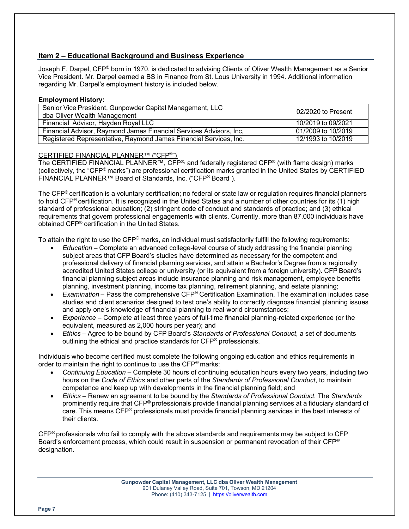# **Item 2 – Educational Background and Business Experience**

Joseph F. Darpel, CFP® born in 1970, is dedicated to advising Clients of Oliver Wealth Management as a Senior Vice President. Mr. Darpel earned a BS in Finance from St. Lous University in 1994. Additional information regarding Mr. Darpel's employment history is included below.

#### **Employment History:**

| Senior Vice President, Gunpowder Capital Management, LLC<br>dba Oliver Wealth Management | 02/2020 to Present |
|------------------------------------------------------------------------------------------|--------------------|
| Financial Advisor, Hayden Royal LLC                                                      | 10/2019 to 09/2021 |
| Financial Advisor, Raymond James Financial Services Advisors, Inc.                       | 01/2009 to 10/2019 |
| Registered Representative, Raymond James Financial Services, Inc.                        | 12/1993 to 10/2019 |

#### CERTIFIED FINANCIAL PLANNER™ ("CFP®")

The CERTIFIED FINANCIAL PLANNER™, CFP<sup>®,</sup> and federally registered CFP<sup>®</sup> (with flame design) marks (collectively, the "CFP® marks") are professional certification marks granted in the United States by CERTIFIED FINANCIAL PLANNER™ Board of Standards, Inc. ("CFP® Board").

The CFP® certification is a voluntary certification; no federal or state law or regulation requires financial planners to hold CFP® certification. It is recognized in the United States and a number of other countries for its (1) high standard of professional education; (2) stringent code of conduct and standards of practice; and (3) ethical requirements that govern professional engagements with clients. Currently, more than 87,000 individuals have obtained CFP® certification in the United States.

To attain the right to use the CFP® marks, an individual must satisfactorily fulfill the following requirements:

- *Education*  Complete an advanced college-level course of study addressing the financial planning subject areas that CFP Board's studies have determined as necessary for the competent and professional delivery of financial planning services, and attain a Bachelor's Degree from a regionally accredited United States college or university (or its equivalent from a foreign university). CFP Board's financial planning subject areas include insurance planning and risk management, employee benefits planning, investment planning, income tax planning, retirement planning, and estate planning;
- *Examination*  Pass the comprehensive CFP® Certification Examination. The examination includes case studies and client scenarios designed to test one's ability to correctly diagnose financial planning issues and apply one's knowledge of financial planning to real-world circumstances;
- *Experience*  Complete at least three years of full-time financial planning-related experience (or the equivalent, measured as 2,000 hours per year); and
- *Ethics*  Agree to be bound by CFP Board's *Standards of Professional Conduct*, a set of documents outlining the ethical and practice standards for CFP® professionals.

Individuals who become certified must complete the following ongoing education and ethics requirements in order to maintain the right to continue to use the CFP<sup>®</sup> marks:

- *Continuing Education*  Complete 30 hours of continuing education hours every two years, including two hours on the *Code of Ethics* and other parts of the *Standards of Professional Conduct*, to maintain competence and keep up with developments in the financial planning field; and
- *Ethics*  Renew an agreement to be bound by the *Standards of Professional Conduct.* The *Standards*  prominently require that CFP® professionals provide financial planning services at a fiduciary standard of care. This means CFP® professionals must provide financial planning services in the best interests of their clients.

CFP® professionals who fail to comply with the above standards and requirements may be subject to CFP Board's enforcement process, which could result in suspension or permanent revocation of their CFP® designation.